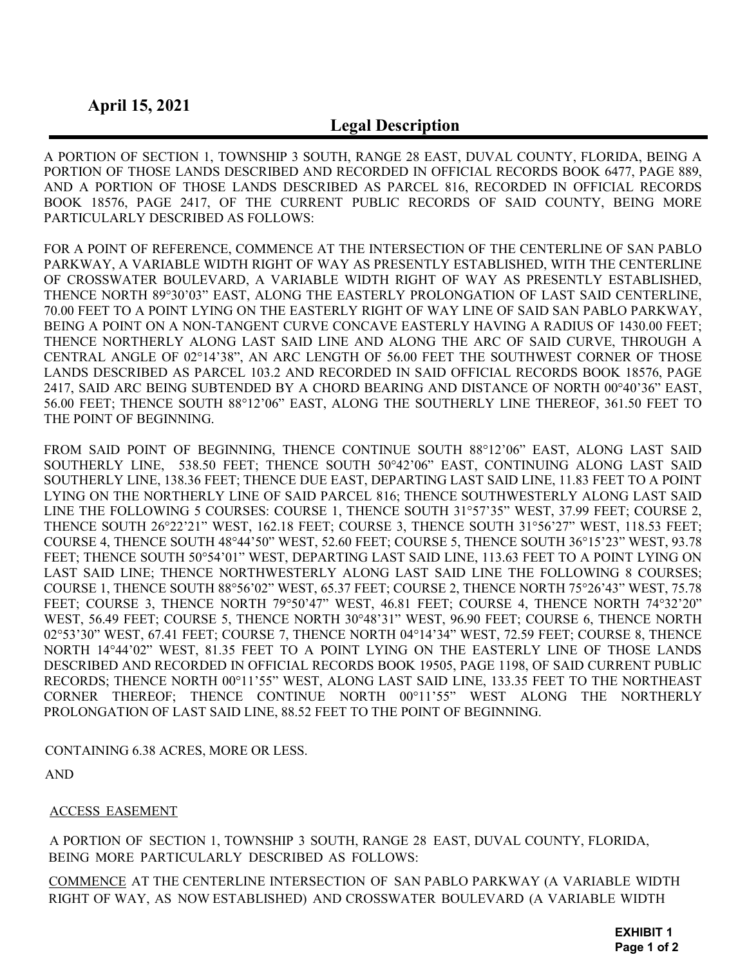## Legal Description

A PORTION OF SECTION 1, TOWNSHIP 3 SOUTH, RANGE 28 EAST, DUVAL COUNTY, FLORIDA, BEING A PORTION OF THOSE LANDS DESCRIBED AND RECORDED IN OFFICIAL RECORDS BOOK 6477, PAGE 889, AND A PORTION OF THOSE LANDS DESCRIBED AS PARCEL 816, RECORDED IN OFFICIAL RECORDS BOOK 18576, PAGE 2417, OF THE CURRENT PUBLIC RECORDS OF SAID COUNTY, BEING MORE PARTICULARLY DESCRIBED AS FOLLOWS:

FOR A POINT OF REFERENCE, COMMENCE AT THE INTERSECTION OF THE CENTERLINE OF SAN PABLO PARKWAY, A VARIABLE WIDTH RIGHT OF WAY AS PRESENTLY ESTABLISHED, WITH THE CENTERLINE OF CROSSWATER BOULEVARD, A VARIABLE WIDTH RIGHT OF WAY AS PRESENTLY ESTABLISHED, THENCE NORTH 89°30'03" EAST, ALONG THE EASTERLY PROLONGATION OF LAST SAID CENTERLINE, 70.00 FEET TO A POINT LYING ON THE EASTERLY RIGHT OF WAY LINE OF SAID SAN PABLO PARKWAY, BEING A POINT ON A NON-TANGENT CURVE CONCAVE EASTERLY HAVING A RADIUS OF 1430.00 FEET; THENCE NORTHERLY ALONG LAST SAID LINE AND ALONG THE ARC OF SAID CURVE, THROUGH A CENTRAL ANGLE OF 02°14'38", AN ARC LENGTH OF 56.00 FEET THE SOUTHWEST CORNER OF THOSE LANDS DESCRIBED AS PARCEL 103.2 AND RECORDED IN SAID OFFICIAL RECORDS BOOK 18576, PAGE 2417, SAID ARC BEING SUBTENDED BY A CHORD BEARING AND DISTANCE OF NORTH 00°40'36" EAST, 56.00 FEET; THENCE SOUTH 88°12'06" EAST, ALONG THE SOUTHERLY LINE THEREOF, 361.50 FEET TO THE POINT OF BEGINNING.

FROM SAID POINT OF BEGINNING, THENCE CONTINUE SOUTH 88°12'06" EAST, ALONG LAST SAID SOUTHERLY LINE, 538.50 FEET; THENCE SOUTH 50°42'06" EAST, CONTINUING ALONG LAST SAID SOUTHERLY LINE, 138.36 FEET; THENCE DUE EAST, DEPARTING LAST SAID LINE, 11.83 FEET TO A POINT LYING ON THE NORTHERLY LINE OF SAID PARCEL 816; THENCE SOUTHWESTERLY ALONG LAST SAID LINE THE FOLLOWING 5 COURSES: COURSE 1, THENCE SOUTH 31°57'35" WEST, 37.99 FEET; COURSE 2, THENCE SOUTH 26°22'21" WEST, 162.18 FEET; COURSE 3, THENCE SOUTH 31°56'27" WEST, 118.53 FEET; COURSE 4, THENCE SOUTH 48°44'50" WEST, 52.60 FEET; COURSE 5, THENCE SOUTH 36°15'23" WEST, 93.78 FEET; THENCE SOUTH 50°54'01" WEST, DEPARTING LAST SAID LINE, 113.63 FEET TO A POINT LYING ON LAST SAID LINE; THENCE NORTHWESTERLY ALONG LAST SAID LINE THE FOLLOWING 8 COURSES; COURSE 1, THENCE SOUTH 88°56'02" WEST, 65.37 FEET; COURSE 2, THENCE NORTH 75°26'43" WEST, 75.78 FEET; COURSE 3, THENCE NORTH 79°50'47" WEST, 46.81 FEET; COURSE 4, THENCE NORTH 74°32'20" WEST, 56.49 FEET; COURSE 5, THENCE NORTH 30°48'31" WEST, 96.90 FEET; COURSE 6, THENCE NORTH 02°53'30" WEST, 67.41 FEET; COURSE 7, THENCE NORTH 04°14'34" WEST, 72.59 FEET; COURSE 8, THENCE NORTH 14°44'02" WEST, 81.35 FEET TO A POINT LYING ON THE EASTERLY LINE OF THOSE LANDS DESCRIBED AND RECORDED IN OFFICIAL RECORDS BOOK 19505, PAGE 1198, OF SAID CURRENT PUBLIC RECORDS; THENCE NORTH 00°11'55" WEST, ALONG LAST SAID LINE, 133.35 FEET TO THE NORTHEAST CORNER THEREOF; THENCE CONTINUE NORTH 00°11'55" WEST ALONG THE NORTHERLY PROLONGATION OF LAST SAID LINE, 88.52 FEET TO THE POINT OF BEGINNING.

CONTAINING 6.38 ACRES, MORE OR LESS.

AND

## ACCESS EASEMENT

A PORTION OF SECTION 1, TOWNSHIP 3 SOUTH, RANGE 28 EAST, DUVAL COUNTY, FLORIDA, BEING MORE PARTICULARLY DESCRIBED AS FOLLOWS:

COMMENCE AT THE CENTERLINE INTERSECTION OF SAN PABLO PARKWAY (A VARIABLE WIDTH RIGHT OF WAY, AS NOW ESTABLISHED) AND CROSSWATER BOULEVARD (A VARIABLE WIDTH